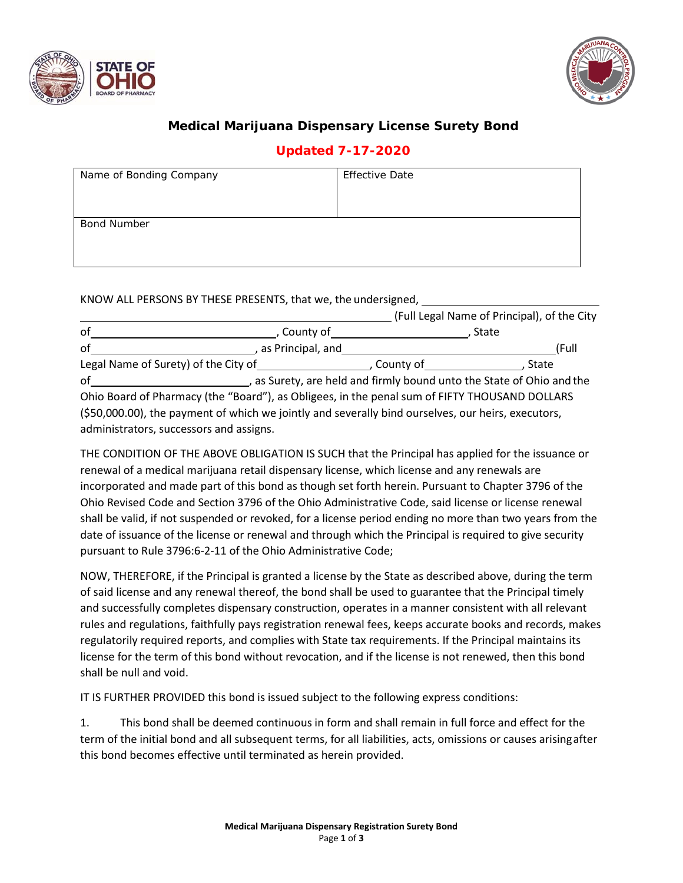



## **Medical Marijuana Dispensary License Surety Bond**

## **Updated 7-17-2020**

| Name of Bonding Company | <b>Effective Date</b> |
|-------------------------|-----------------------|
| <b>Bond Number</b>      |                       |

KNOW ALL PERSONS BY THESE PRESENTS, that we, the undersigned,

|                                                                                                    |                     |           | (Full Legal Name of Principal), of the City |  |
|----------------------------------------------------------------------------------------------------|---------------------|-----------|---------------------------------------------|--|
| of                                                                                                 | County of           |           | State                                       |  |
| of                                                                                                 | , as Principal, and |           | (Full                                       |  |
| Legal Name of Surety) of the City of                                                               |                     | County of | State                                       |  |
| , as Surety, are held and firmly bound unto the State of Ohio and the<br>οf                        |                     |           |                                             |  |
| Ohio Board of Pharmacy (the "Board"), as Obligees, in the penal sum of FIFTY THOUSAND DOLLARS      |                     |           |                                             |  |
| (\$50,000.00), the payment of which we jointly and severally bind ourselves, our heirs, executors, |                     |           |                                             |  |

administrators, successors and assigns.

THE CONDITION OF THE ABOVE OBLIGATION IS SUCH that the Principal has applied for the issuance or renewal of a medical marijuana retail dispensary license, which license and any renewals are incorporated and made part of this bond as though set forth herein. Pursuant to Chapter 3796 of the Ohio Revised Code and Section 3796 of the Ohio Administrative Code, said license or license renewal shall be valid, if not suspended or revoked, for a license period ending no more than two years from the date of issuance of the license or renewal and through which the Principal is required to give security pursuant to Rule 3796:6‐2‐11 of the Ohio Administrative Code;

NOW, THEREFORE, if the Principal is granted a license by the State as described above, during the term of said license and any renewal thereof, the bond shall be used to guarantee that the Principal timely and successfully completes dispensary construction, operates in a manner consistent with all relevant rules and regulations, faithfully pays registration renewal fees, keeps accurate books and records, makes regulatorily required reports, and complies with State tax requirements. If the Principal maintains its license for the term of this bond without revocation, and if the license is not renewed, then this bond shall be null and void.

IT IS FURTHER PROVIDED this bond is issued subject to the following express conditions:

1. This bond shall be deemed continuous in form and shall remain in full force and effect for the term of the initial bond and all subsequent terms, for all liabilities, acts, omissions or causes arisingafter this bond becomes effective until terminated as herein provided.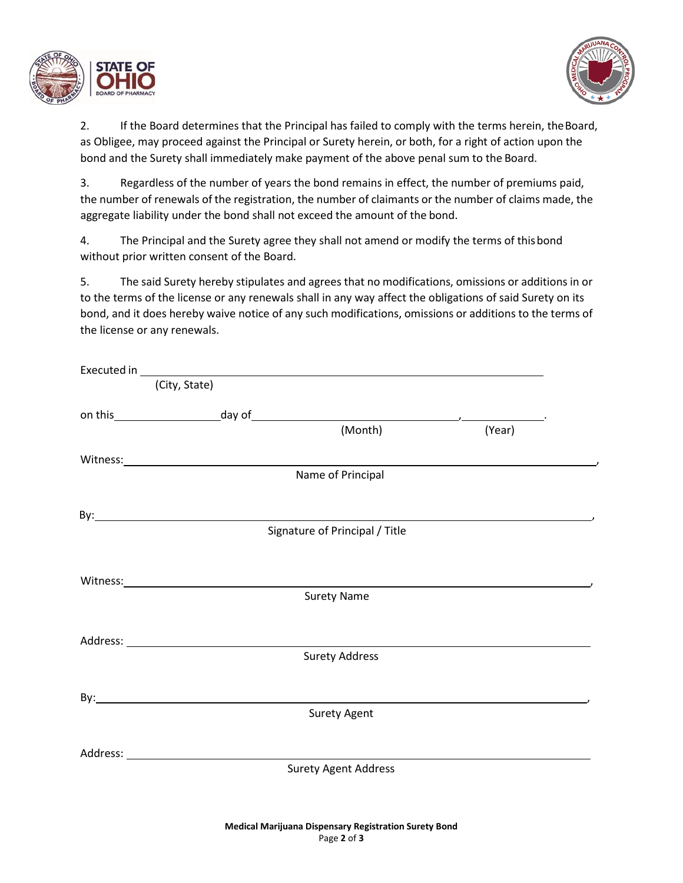



2. If the Board determines that the Principal has failed to comply with the terms herein, the Board, as Obligee, may proceed against the Principal or Surety herein, or both, for a right of action upon the bond and the Surety shall immediately make payment of the above penal sum to the Board.

3. Regardless of the number of years the bond remains in effect, the number of premiums paid, the number of renewals of the registration, the number of claimants or the number of claims made, the aggregate liability under the bond shall not exceed the amount of the bond.

4. The Principal and the Surety agree they shall not amend or modify the terms of thisbond without prior written consent of the Board.

5. The said Surety hereby stipulates and agrees that no modifications, omissions or additions in or to the terms of the license or any renewals shall in any way affect the obligations of said Surety on its bond, and it does hereby waive notice of any such modifications, omissions or additions to the terms of the license or any renewals.

|                                                                                                                                                                                                                                | Executed in with the contract of the contract of the contract of the contract of the contract of the contract of the contract of the contract of the contract of the contract of the contract of the contract of the contract |        |
|--------------------------------------------------------------------------------------------------------------------------------------------------------------------------------------------------------------------------------|-------------------------------------------------------------------------------------------------------------------------------------------------------------------------------------------------------------------------------|--------|
| (City, State)                                                                                                                                                                                                                  |                                                                                                                                                                                                                               |        |
|                                                                                                                                                                                                                                |                                                                                                                                                                                                                               |        |
|                                                                                                                                                                                                                                | (Month)                                                                                                                                                                                                                       | (Year) |
|                                                                                                                                                                                                                                |                                                                                                                                                                                                                               |        |
|                                                                                                                                                                                                                                | Name of Principal                                                                                                                                                                                                             |        |
|                                                                                                                                                                                                                                |                                                                                                                                                                                                                               |        |
|                                                                                                                                                                                                                                | Signature of Principal / Title                                                                                                                                                                                                |        |
|                                                                                                                                                                                                                                |                                                                                                                                                                                                                               |        |
|                                                                                                                                                                                                                                |                                                                                                                                                                                                                               |        |
| Witness: Universe Production of the Universe Production of the Universe Production of the Universe Production of the Universe Production of the Universe Production of the Universe Production of the Universe Production of t | <b>Surety Name</b>                                                                                                                                                                                                            |        |
|                                                                                                                                                                                                                                |                                                                                                                                                                                                                               |        |
|                                                                                                                                                                                                                                |                                                                                                                                                                                                                               |        |
|                                                                                                                                                                                                                                | <b>Surety Address</b>                                                                                                                                                                                                         |        |
|                                                                                                                                                                                                                                |                                                                                                                                                                                                                               |        |
| By: <b>Example 2018</b>                                                                                                                                                                                                        |                                                                                                                                                                                                                               |        |
|                                                                                                                                                                                                                                | <b>Surety Agent</b>                                                                                                                                                                                                           |        |
|                                                                                                                                                                                                                                |                                                                                                                                                                                                                               |        |
|                                                                                                                                                                                                                                |                                                                                                                                                                                                                               |        |
|                                                                                                                                                                                                                                | <b>Surety Agent Address</b>                                                                                                                                                                                                   |        |
|                                                                                                                                                                                                                                |                                                                                                                                                                                                                               |        |